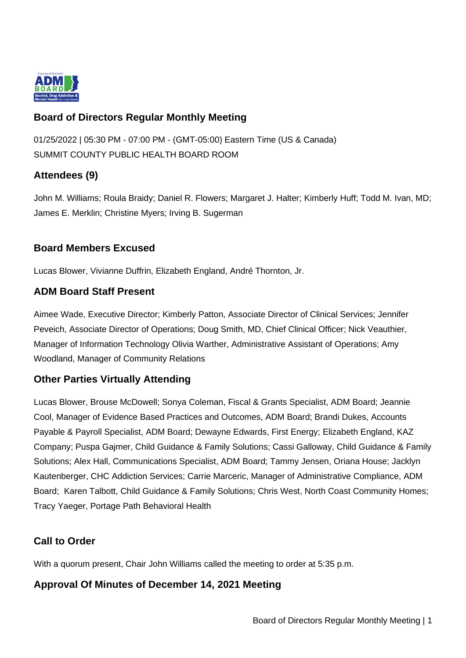

## **Board of Directors Regular Monthly Meeting**

01/25/2022 | 05:30 PM - 07:00 PM - (GMT-05:00) Eastern Time (US & Canada) SUMMIT COUNTY PUBLIC HEALTH BOARD ROOM

# **Attendees (9)**

John M. Williams; Roula Braidy; Daniel R. Flowers; Margaret J. Halter; Kimberly Huff; Todd M. Ivan, MD; James E. Merklin; Christine Myers; Irving B. Sugerman

## **Board Members Excused**

Lucas Blower, Vivianne Duffrin, Elizabeth England, André Thornton, Jr.

## **ADM Board Staff Present**

Aimee Wade, Executive Director; Kimberly Patton, Associate Director of Clinical Services; Jennifer Peveich, Associate Director of Operations; Doug Smith, MD, Chief Clinical Officer; Nick Veauthier, Manager of Information Technology Olivia Warther, Administrative Assistant of Operations; Amy Woodland, Manager of Community Relations

## **Other Parties Virtually Attending**

Lucas Blower, Brouse McDowell; Sonya Coleman, Fiscal & Grants Specialist, ADM Board; Jeannie Cool, Manager of Evidence Based Practices and Outcomes, ADM Board; Brandi Dukes, Accounts Payable & Payroll Specialist, ADM Board; Dewayne Edwards, First Energy; Elizabeth England, KAZ Company; Puspa Gajmer, Child Guidance & Family Solutions; Cassi Galloway, Child Guidance & Family Solutions; Alex Hall, Communications Specialist, ADM Board; Tammy Jensen, Oriana House; Jacklyn Kautenberger, CHC Addiction Services; Carrie Marceric, Manager of Administrative Compliance, ADM Board; Karen Talbott, Child Guidance & Family Solutions; Chris West, North Coast Community Homes; Tracy Yaeger, Portage Path Behavioral Health

## **Call to Order**

With a quorum present, Chair John Williams called the meeting to order at 5:35 p.m.

## **Approval Of Minutes of December 14, 2021 Meeting**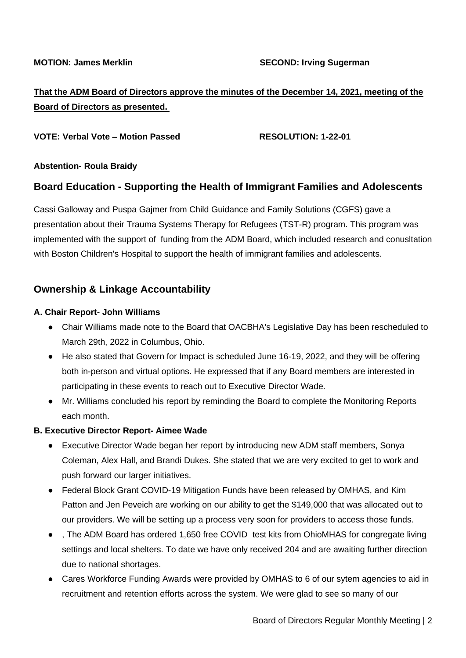# **That the ADM Board of Directors approve the minutes of the December 14, 2021, meeting of the Board of Directors as presented.**

### **VOTE: Verbal Vote – Motion Passed RESOLUTION: 1-22-01**

### **Abstention- Roula Braidy**

## **Board Education - Supporting the Health of Immigrant Families and Adolescents**

Cassi Galloway and Puspa Gajmer from Child Guidance and Family Solutions (CGFS) gave a presentation about their Trauma Systems Therapy for Refugees (TST-R) program. This program was implemented with the support of funding from the ADM Board, which included research and conusltation with Boston Children's Hospital to support the health of immigrant families and adolescents.

## **Ownership & Linkage Accountability**

### **A. Chair Report- John Williams**

- Chair Williams made note to the Board that OACBHA's Legislative Day has been rescheduled to March 29th, 2022 in Columbus, Ohio.
- He also stated that Govern for Impact is scheduled June 16-19, 2022, and they will be offering both in-person and virtual options. He expressed that if any Board members are interested in participating in these events to reach out to Executive Director Wade.
- Mr. Williams concluded his report by reminding the Board to complete the Monitoring Reports each month.

### **B. Executive Director Report- Aimee Wade**

- Executive Director Wade began her report by introducing new ADM staff members, Sonya Coleman, Alex Hall, and Brandi Dukes. She stated that we are very excited to get to work and push forward our larger initiatives.
- Federal Block Grant COVID-19 Mitigation Funds have been released by OMHAS, and Kim Patton and Jen Peveich are working on our ability to get the \$149,000 that was allocated out to our providers. We will be setting up a process very soon for providers to access those funds.
- . The ADM Board has ordered 1,650 free COVID test kits from OhioMHAS for congregate living settings and local shelters. To date we have only received 204 and are awaiting further direction due to national shortages.
- Cares Workforce Funding Awards were provided by OMHAS to 6 of our sytem agencies to aid in recruitment and retention efforts across the system. We were glad to see so many of our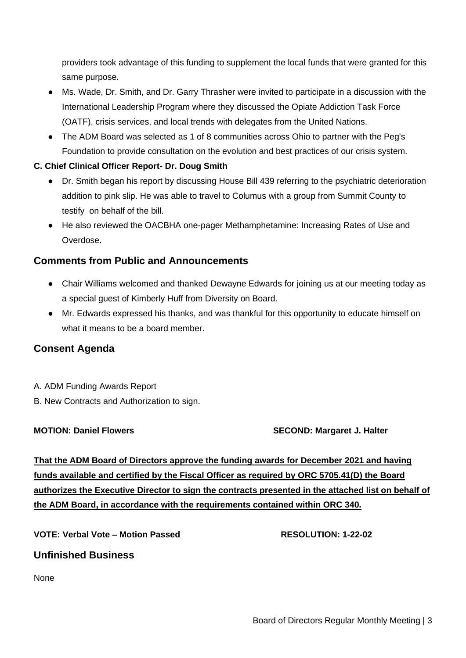providers took advantage of this funding to supplement the local funds that were granted for this same purpose.

- Ms. Wade, Dr. Smith, and Dr. Garry Thrasher were invited to participate in a discussion with the International Leadership Program where they discussed the Opiate Addiction Task Force (OATF), crisis services, and local trends with delegates from the United Nations.
- The ADM Board was selected as 1 of 8 communities across Ohio to partner with the Peg's Foundation to provide consultation on the evolution and best practices of our crisis system.

### **C. Chief Clinical Officer Report- Dr. Doug Smith**

- Dr. Smith began his report by discussing House Bill 439 referring to the psychiatric deterioration addition to pink slip. He was able to travel to Columus with a group from Summit County to testify on behalf of the bill.
- He also reviewed the OACBHA one-pager Methamphetamine: Increasing Rates of Use and Overdose.

## **Comments from Public and Announcements**

- Chair Williams welcomed and thanked Dewayne Edwards for joining us at our meeting today as a special guest of Kimberly Huff from Diversity on Board.
- Mr. Edwards expressed his thanks, and was thankful for this opportunity to educate himself on what it means to be a board member.

## **Consent Agenda**

- A. ADM Funding Awards Report
- B. New Contracts and Authorization to sign.

### **MOTION: Daniel Flowers SECOND: Margaret J. Halter**

**That the ADM Board of Directors approve the funding awards for December 2021 and having funds available and certified by the Fiscal Officer as required by ORC 5705.41(D) the Board authorizes the Executive Director to sign the contracts presented in the attached list on behalf of the ADM Board, in accordance with the requirements contained within ORC 340.**

**VOTE: Verbal Vote – Motion Passed RESOLUTION: 1-22-02**

## **Unfinished Business**

None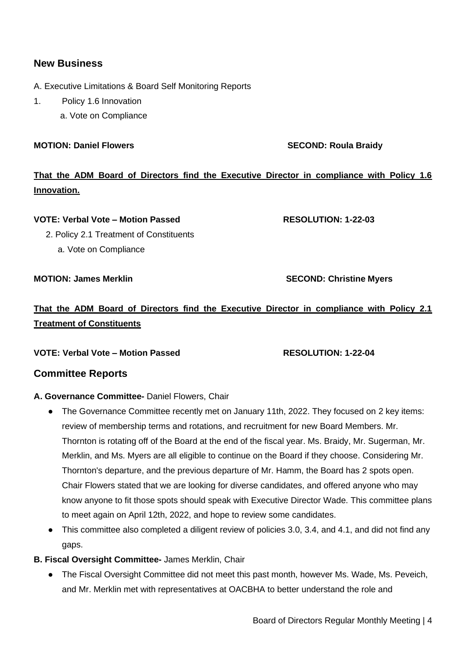## **New Business**

- A. Executive Limitations & Board Self Monitoring Reports
- 1. Policy 1.6 Innovation
	- a. Vote on Compliance

### **MOTION: Daniel Flowers SECOND: Roula Braidy**

# **That the ADM Board of Directors find the Executive Director in compliance with Policy 1.6 Innovation.**

### **VOTE: Verbal Vote – Motion Passed RESOLUTION: 1-22-03**

2. Policy 2.1 Treatment of Constituents

a. Vote on Compliance

**MOTION: James Merklin SECOND: Christine Myers** 

# **That the ADM Board of Directors find the Executive Director in compliance with Policy 2.1 Treatment of Constituents**

**VOTE: Verbal Vote – Motion Passed RESOLUTION: 1-22-04**

## **Committee Reports**

### **A. Governance Committee-** Daniel Flowers, Chair

- The Governance Committee recently met on January 11th, 2022. They focused on 2 key items: review of membership terms and rotations, and recruitment for new Board Members. Mr. Thornton is rotating off of the Board at the end of the fiscal year. Ms. Braidy, Mr. Sugerman, Mr. Merklin, and Ms. Myers are all eligible to continue on the Board if they choose. Considering Mr. Thornton's departure, and the previous departure of Mr. Hamm, the Board has 2 spots open. Chair Flowers stated that we are looking for diverse candidates, and offered anyone who may know anyone to fit those spots should speak with Executive Director Wade. This committee plans to meet again on April 12th, 2022, and hope to review some candidates.
- This committee also completed a diligent review of policies 3.0, 3.4, and 4.1, and did not find any gaps.
- **B. Fiscal Oversight Committee-** James Merklin, Chair
	- The Fiscal Oversight Committee did not meet this past month, however Ms. Wade, Ms. Peveich, and Mr. Merklin met with representatives at OACBHA to better understand the role and